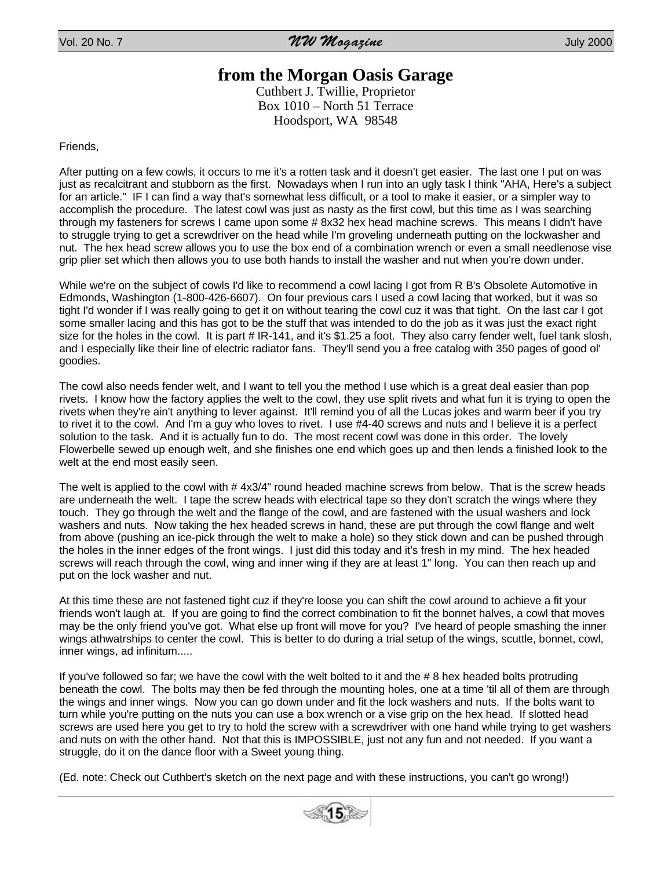## **from the Morgan Oasis Garage**

Cuthbert J. Twillie, Proprietor Box 1010 – North 51 Terrace Hoodsport, WA 98548

Friends,

After putting on a few cowls, it occurs to me it's a rotten task and it doesn't get easier. The last one I put on was just as recalcitrant and stubborn as the first. Nowadays when I run into an ugly task I think "AHA, Here's a subject for an article." IF I can find a way that's somewhat less difficult, or a tool to make it easier, or a simpler way to accomplish the procedure. The latest cowl was just as nasty as the first cowl, but this time as I was searching through my fasteners for screws I came upon some # 8x32 hex head machine screws. This means I didn't have to struggle trying to get a screwdriver on the head while I'm groveling underneath putting on the lockwasher and nut. The hex head screw allows you to use the box end of a combination wrench or even a small needlenose vise grip plier set which then allows you to use both hands to install the washer and nut when you're down under.

While we're on the subject of cowls I'd like to recommend a cowl lacing I got from R B's Obsolete Automotive in Edmonds, Washington (1-800-426-6607). On four previous cars I used a cowl lacing that worked, but it was so tight I'd wonder if I was really going to get it on without tearing the cowl cuz it was that tight. On the last car I got some smaller lacing and this has got to be the stuff that was intended to do the job as it was just the exact right size for the holes in the cowl. It is part # IR-141, and it's \$1.25 a foot. They also carry fender welt, fuel tank slosh, and I especially like their line of electric radiator fans. They'll send you a free catalog with 350 pages of good ol' goodies.

The cowl also needs fender welt, and I want to tell you the method I use which is a great deal easier than pop rivets. I know how the factory applies the welt to the cowl, they use split rivets and what fun it is trying to open the rivets when they're ain't anything to lever against. It'll remind you of all the Lucas jokes and warm beer if you try to rivet it to the cowl. And I'm a guy who loves to rivet. I use #4-40 screws and nuts and I believe it is a perfect solution to the task. And it is actually fun to do. The most recent cowl was done in this order. The lovely Flowerbelle sewed up enough welt, and she finishes one end which goes up and then lends a finished look to the welt at the end most easily seen.

The welt is applied to the cowl with # 4x3/4" round headed machine screws from below. That is the screw heads are underneath the welt. I tape the screw heads with electrical tape so they don't scratch the wings where they touch. They go through the welt and the flange of the cowl, and are fastened with the usual washers and lock washers and nuts. Now taking the hex headed screws in hand, these are put through the cowl flange and welt from above (pushing an ice-pick through the welt to make a hole) so they stick down and can be pushed through the holes in the inner edges of the front wings. I just did this today and it's fresh in my mind. The hex headed screws will reach through the cowl, wing and inner wing if they are at least 1" long. You can then reach up and put on the lock washer and nut.

At this time these are not fastened tight cuz if they're loose you can shift the cowl around to achieve a fit your friends won't laugh at. If you are going to find the correct combination to fit the bonnet halves, a cowl that moves may be the only friend you've got. What else up front will move for you? I've heard of people smashing the inner wings athwatrships to center the cowl. This is better to do during a trial setup of the wings, scuttle, bonnet, cowl, inner wings, ad infinitum.....

If you've followed so far; we have the cowl with the welt bolted to it and the # 8 hex headed bolts protruding beneath the cowl. The bolts may then be fed through the mounting holes, one at a time 'til all of them are through the wings and inner wings. Now you can go down under and fit the lock washers and nuts. If the bolts want to turn while you're putting on the nuts you can use a box wrench or a vise grip on the hex head. If slotted head screws are used here you get to try to hold the screw with a screwdriver with one hand while trying to get washers and nuts on with the other hand. Not that this is IMPOSSIBLE, just not any fun and not needed. If you want a struggle, do it on the dance floor with a Sweet young thing.

(Ed. note: Check out Cuthbert's sketch on the next page and with these instructions, you can't go wrong!)